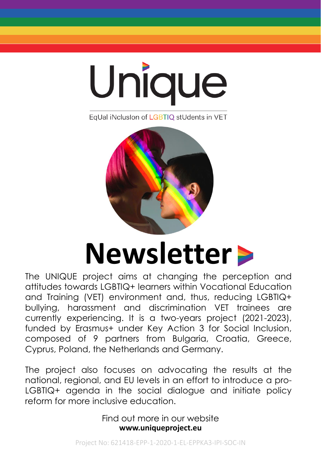

EqUal iNclusion of LGBTIQ stUdents in VET



# **Newsletter**

The UNIQUE project aims at changing the perception and attitudes towards LGBTIQ+ learners within Vocational Education and Training (VET) environment and, thus, reducing LGBTIQ+ bullying, harassment and discrimination VET trainees are currently experiencing. It is a two-years project (2021-2023), funded by Erasmus+ under Key Action 3 for Social Inclusion, composed of 9 partners from Bulgaria, Croatia, Greece, Cyprus, Poland, the Netherlands and Germany.

The project also focuses on advocating the results at the national, regional, and EU levels in an effort to introduce a pro-LGBTIQ+ agenda in the social dialogue and initiate policy reform for more inclusive education.

> **www.uniqueproject.eu** Find out more in our website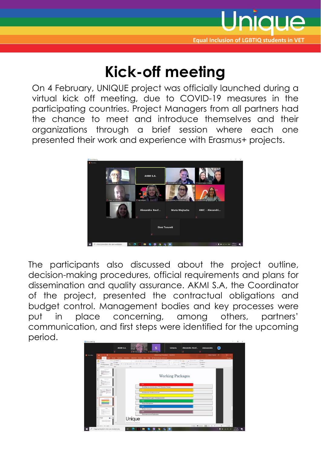

### **Kick-off meeting**

On 4 February, UNIQUE project was officially launched during a virtual kick off meeting, due to COVID-19 measures in the participating countries. Project Managers from all partners had the chance to meet and introduce themselves and their organizations through a brief session where each one presented their work and experience with Erasmus+ projects.



The participants also discussed about the project outline, decision-making procedures, official requirements and plans for dissemination and quality assurance. AKMI S.A, the Coordinator of the project, presented the contractual obligations and budget control. Management bodies and key processes were put in place concerning, among others, partners' communication, and first steps were identified for the upcoming period.

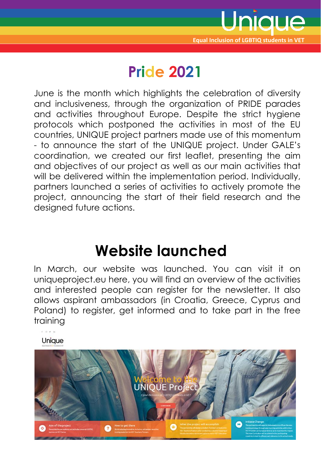

# **Pride 2021**

June is the month which highlights the celebration of diversity and inclusiveness, through the organization of PRIDE parades and activities throughout Europe. Despite the strict hygiene protocols which postponed the activities in most of the EU countries, UNIQUE project partners made use of this momentum - to announce the start of the UNIQUE project. Under GALE's coordination, we created our first leaflet, presenting the aim and objectives of our project as well as our main activities that will be delivered within the implementation period. Individually, partners launched a series of activities to actively promote the project, announcing the start of their field research and the designed future actions.

## **Website launched**

In March, our website was launched. You can visit it on uniqueproject.eu here, you will find an overview of the activities and interested people can register for the newsletter. It also allows aspirant ambassadors (in Croatia, Greece, Cyprus and Poland) to register, get informed and to take part in the free training

Unique